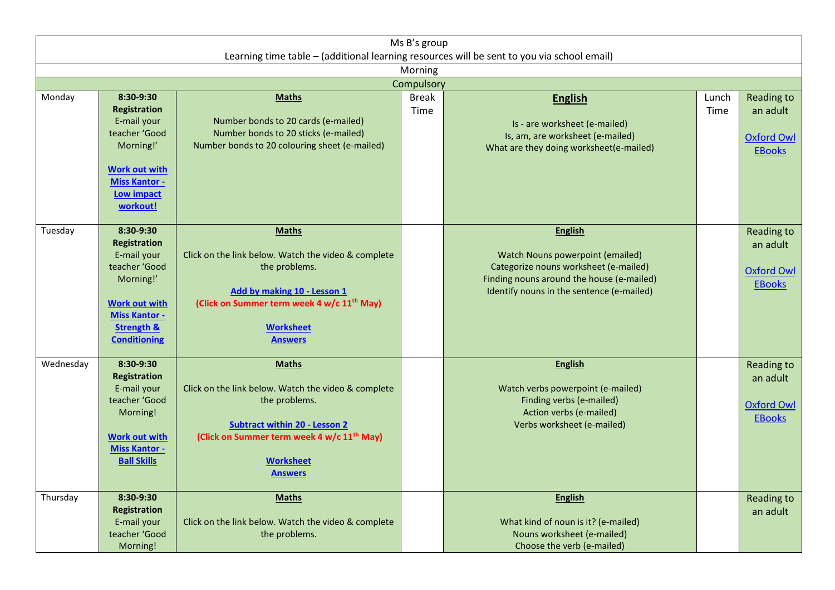| Ms B's group<br>Learning time table - (additional learning resources will be sent to you via school email) |                                                                                                                                                                               |                                                                                                                                                                                                                              |                      |                                                                                                                                                                                       |               |                                                              |  |  |  |  |  |  |
|------------------------------------------------------------------------------------------------------------|-------------------------------------------------------------------------------------------------------------------------------------------------------------------------------|------------------------------------------------------------------------------------------------------------------------------------------------------------------------------------------------------------------------------|----------------------|---------------------------------------------------------------------------------------------------------------------------------------------------------------------------------------|---------------|--------------------------------------------------------------|--|--|--|--|--|--|
| Morning                                                                                                    |                                                                                                                                                                               |                                                                                                                                                                                                                              |                      |                                                                                                                                                                                       |               |                                                              |  |  |  |  |  |  |
| Compulsory                                                                                                 |                                                                                                                                                                               |                                                                                                                                                                                                                              |                      |                                                                                                                                                                                       |               |                                                              |  |  |  |  |  |  |
| Monday                                                                                                     | 8:30-9:30<br><b>Registration</b><br>E-mail your<br>teacher 'Good<br>Morning!'<br><b>Work out with</b><br><b>Miss Kantor -</b><br>Low impact<br>workout!                       | <b>Maths</b><br>Number bonds to 20 cards (e-mailed)<br>Number bonds to 20 sticks (e-mailed)<br>Number bonds to 20 colouring sheet (e-mailed)                                                                                 | <b>Break</b><br>Time | <b>English</b><br>Is - are worksheet (e-mailed)<br>Is, am, are worksheet (e-mailed)<br>What are they doing worksheet(e-mailed)                                                        | Lunch<br>Time | Reading to<br>an adult<br><b>Oxford Owl</b><br><b>EBooks</b> |  |  |  |  |  |  |
| Tuesday                                                                                                    | 8:30-9:30<br><b>Registration</b><br>E-mail your<br>teacher 'Good<br>Morning!'<br><b>Work out with</b><br><b>Miss Kantor -</b><br><b>Strength &amp;</b><br><b>Conditioning</b> | <b>Maths</b><br>Click on the link below. Watch the video & complete<br>the problems.<br>Add by making 10 - Lesson 1<br>(Click on Summer term week 4 w/c 11 <sup>th</sup> May)<br><b>Worksheet</b><br><b>Answers</b>          |                      | <b>English</b><br>Watch Nouns powerpoint (emailed)<br>Categorize nouns worksheet (e-mailed)<br>Finding nouns around the house (e-mailed)<br>Identify nouns in the sentence (e-mailed) |               | Reading to<br>an adult<br><b>Oxford Owl</b><br><b>EBooks</b> |  |  |  |  |  |  |
| Wednesday                                                                                                  | 8:30-9:30<br><b>Registration</b><br>E-mail your<br>teacher 'Good<br>Morning!<br><b>Work out with</b><br><b>Miss Kantor -</b><br><b>Ball Skills</b>                            | <b>Maths</b><br>Click on the link below. Watch the video & complete<br>the problems.<br><b>Subtract within 20 - Lesson 2</b><br>(Click on Summer term week 4 w/c 11 <sup>th</sup> May)<br><b>Worksheet</b><br><b>Answers</b> |                      | <b>English</b><br>Watch verbs powerpoint (e-mailed)<br>Finding verbs (e-mailed)<br>Action verbs (e-mailed)<br>Verbs worksheet (e-mailed)                                              |               | Reading to<br>an adult<br><b>Oxford Owl</b><br><b>EBooks</b> |  |  |  |  |  |  |
| Thursday                                                                                                   | 8:30-9:30<br><b>Registration</b><br>E-mail your<br>teacher 'Good<br>Morning!                                                                                                  | <b>Maths</b><br>Click on the link below. Watch the video & complete<br>the problems.                                                                                                                                         |                      | <b>English</b><br>What kind of noun is it? (e-mailed)<br>Nouns worksheet (e-mailed)<br>Choose the verb (e-mailed)                                                                     |               | <b>Reading to</b><br>an adult                                |  |  |  |  |  |  |